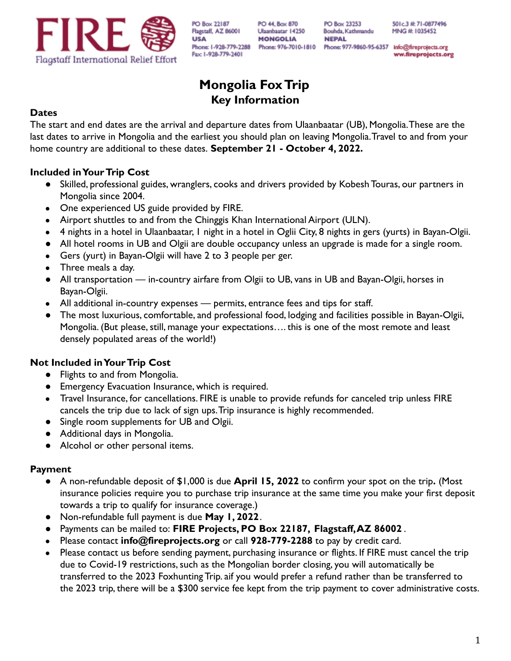

PO Box 22187 Flagstaff, AZ 86001 **USA** Fax: 1-928-779-2401 PO 44, Box 870 Ulaanbaatar 14250 **MONGOLIA** 

PO Box 23253 Bouhda, Kathmandu **NEPAL** 

501c.3 # 71-0877496 MNG #: 1035452

Phone: 1-928-779-2288 Phone: 976-7010-1810 Phone: 977-9860-95-6357 Info@fireprojects.org ww.fireprojects.org

# **Mongolia FoxTrip Key Information**

# **Dates**

The start and end dates are the arrival and departure dates from Ulaanbaatar (UB), Mongolia.These are the last dates to arrive in Mongolia and the earliest you should plan on leaving Mongolia.Travel to and from your home country are additional to these dates. **September 21 - October 4, 2022.**

# **Included in Your Trip Cost**

- Skilled, professional guides, wranglers, cooks and drivers provided by Kobesh Touras, our partners in Mongolia since 2004.
- One experienced US guide provided by FIRE.
- Airport shuttles to and from the Chinggis Khan International Airport (ULN).
- 4 nights in a hotel in Ulaanbaatar, 1 night in a hotel in Oglii City, 8 nights in gers (yurts) in Bayan-Olgii.
- All hotel rooms in UB and Olgii are double occupancy unless an upgrade is made for a single room.
- Gers (yurt) in Bayan-Olgii will have 2 to 3 people per ger.
- Three meals a day.
- All transportation in-country airfare from Olgii to UB, vans in UB and Bayan-Olgii, horses in Bayan-Olgii.
- All additional in-country expenses permits, entrance fees and tips for staff.
- The most luxurious, comfortable, and professional food, lodging and facilities possible in Bayan-Olgii, Mongolia. (But please, still, manage your expectations…. this is one of the most remote and least densely populated areas of the world!)

# **Not Included in Your Trip Cost**

- Flights to and from Mongolia.
- Emergency Evacuation Insurance, which is required.
- Travel Insurance, for cancellations. FIRE is unable to provide refunds for canceled trip unless FIRE cancels the trip due to lack of sign ups.Trip insurance is highly recommended.
- Single room supplements for UB and Olgii.
- Additional days in Mongolia.
- Alcohol or other personal items.

# **Payment**

- A non-refundable deposit of \$1,000 is due **April 15, 2022** to confirm your spot on the trip**.** (Most insurance policies require you to purchase trip insurance at the same time you make your first deposit towards a trip to qualify for insurance coverage.)
- Non-refundable full payment is due **May 1, 2022**.
- Payments can be mailed to: **FIRE Projects, PO Box 22187, Flagstaff,AZ 86002** .
- Please contact **info@fireprojects.org** or call **928-779-2288** to pay by credit card.
- Please contact us before sending payment, purchasing insurance or flights. If FIRE must cancel the trip due to Covid-19 restrictions, such as the Mongolian border closing, you will automatically be transferred to the 2023 Foxhunting Trip. aif you would prefer a refund rather than be transferred to the 2023 trip, there will be a \$300 service fee kept from the trip payment to cover administrative costs.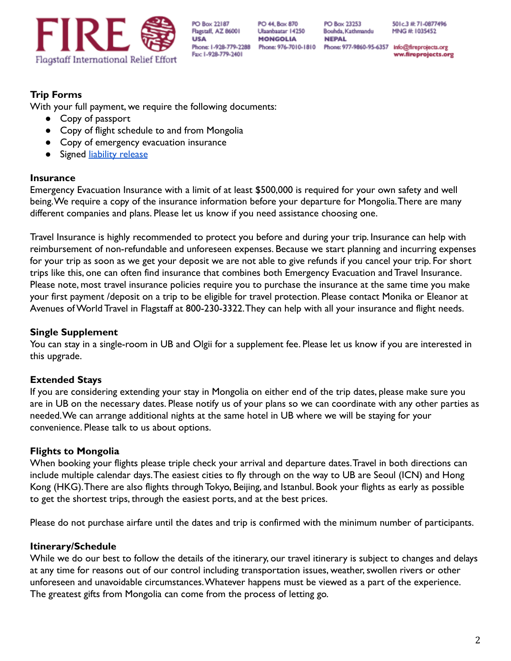

PO Box 22187 Flagstaff, AZ 86001 **USA** Phone: 1-928-779-2288 Fax: 1-928-779-2401

PO 44, Box 870 Ulaanbaatar 14250 **MONGOLIA** 

PO Box 23253 Bouhda, Kathmandu **NEPAL** 

501c.3 # 71-0877496 MNG #: 1035452

Phone: 976-7010-1810 Phone: 977-9860-95-6357 Info@fireprojects.org ww.fireprojects.org

# **Trip Forms**

With your full payment, we require the following documents:

- Copy of passport
- Copy of flight schedule to and from Mongolia
- Copy of emergency evacuation insurance
- **•** Signed [liability release](http://www.fireprojects.org/wp-content/uploads/2017/08/2017-Liability-Release-Langtang-Volunteers.pdf)

### **Insurance**

Emergency Evacuation Insurance with a limit of at least \$500,000 is required for your own safety and well being.We require a copy of the insurance information before your departure for Mongolia.There are many different companies and plans. Please let us know if you need assistance choosing one.

Travel Insurance is highly recommended to protect you before and during your trip. Insurance can help with reimbursement of non-refundable and unforeseen expenses. Because we start planning and incurring expenses for your trip as soon as we get your deposit we are not able to give refunds if you cancel your trip. For short trips like this, one can often find insurance that combines both Emergency Evacuation and Travel Insurance. Please note, most travel insurance policies require you to purchase the insurance at the same time you make your first payment /deposit on a trip to be eligible for travel protection. Please contact Monika or Eleanor at Avenues of World Travel in Flagstaff at 800-230-3322.They can help with all your insurance and flight needs.

### **Single Supplement**

You can stay in a single-room in UB and Olgii for a supplement fee. Please let us know if you are interested in this upgrade.

# **Extended Stays**

If you are considering extending your stay in Mongolia on either end of the trip dates, please make sure you are in UB on the necessary dates. Please notify us of your plans so we can coordinate with any other parties as needed.We can arrange additional nights at the same hotel in UB where we will be staying for your convenience. Please talk to us about options.

# **Flights to Mongolia**

When booking your flights please triple check your arrival and departure dates.Travel in both directions can include multiple calendar days.The easiest cities to fly through on the way to UB are Seoul (ICN) and Hong Kong (HKG).There are also flights through Tokyo, Beijing, and Istanbul. Book your flights as early as possible to get the shortest trips, through the easiest ports, and at the best prices.

Please do not purchase airfare until the dates and trip is confirmed with the minimum number of participants.

# **Itinerary/Schedule**

While we do our best to follow the details of the itinerary, our travel itinerary is subject to changes and delays at any time for reasons out of our control including transportation issues, weather, swollen rivers or other unforeseen and unavoidable circumstances.Whatever happens must be viewed as a part of the experience. The greatest gifts from Mongolia can come from the process of letting go.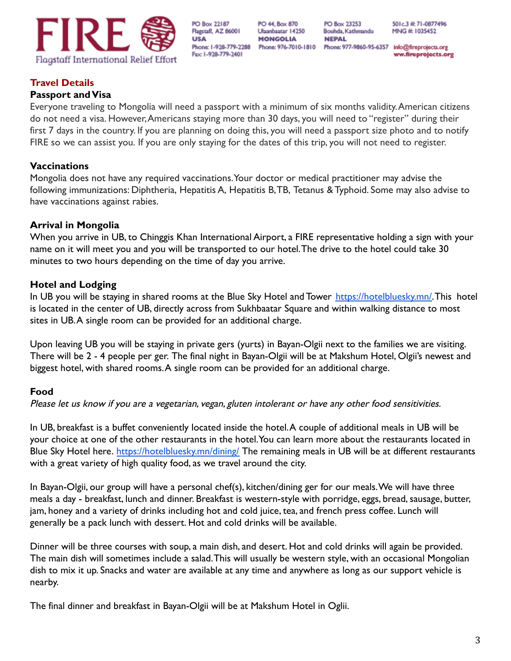

PO Box 22187 Flagstaff, AZ 86001 **USA** Phone: 1-928-779-2288 Fax: 1-928-779-2401

PO 44, Box 870 Ulaanbaatar 14250 **MONGOLIA** 

PO Box 23253 Bouhda, Kathmandu **NEPAL** 

501c.3 # 71-0877496 MNG #: 1035452

Phone: 976-7010-1810 Phone: 977-9860-95-6357 Info@fireprojects.org ww.fireprojects.org

# **Travel Details**

#### **Passport and Visa**

Everyone traveling to Mongolia will need a passport with a minimum of six months validity.American citizens do not need a visa. However,Americans staying more than 30 days, you will need to "register" during their first 7 days in the country. If you are planning on doing this, you will need a passport size photo and to notify FIRE so we can assist you. If you are only staying for the dates of this trip, you will not need to register.

# **Vaccinations**

Mongolia does not have any required vaccinations.Your doctor or medical practitioner may advise the following immunizations: Diphtheria, Hepatitis A, Hepatitis B,TB, Tetanus & Typhoid. Some may also advise to have vaccinations against rabies.

# **Arrival in Mongolia**

When you arrive in UB, to Chinggis Khan International Airport, a FIRE representative holding a sign with your name on it will meet you and you will be transported to our hotel.The drive to the hotel could take 30 minutes to two hours depending on the time of day you arrive.

# **Hotel and Lodging**

In UB you will be staying in shared rooms at the Blue Sky Hotel and Tower [https://hotelbluesky.mn/.](https://hotelbluesky.mn/) This hotel is located in the center of UB, directly across from Sukhbaatar Square and within walking distance to most sites in UB.A single room can be provided for an additional charge.

Upon leaving UB you will be staying in private gers (yurts) in Bayan-Olgii next to the families we are visiting. There will be 2 - 4 people per ger. The final night in Bayan-Olgii will be at Makshum Hotel, Olgii's newest and biggest hotel, with shared rooms.A single room can be provided for an additional charge.

# **Food**

Please let us know if you are a vegetarian, vegan, gluten intolerant or have any other food sensitivities.

In UB, breakfast is a buffet conveniently located inside the hotel.A couple of additional meals in UB will be your choice at one of the other restaurants in the hotel.You can learn more about the restaurants located in Blue Sky Hotel here. <https://hotelbluesky.mn/dining/> The remaining meals in UB will be at different restaurants with a great variety of high quality food, as we travel around the city.

In Bayan-Olgii, our group will have a personal chef(s), kitchen/dining ger for our meals.We will have three meals a day - breakfast, lunch and dinner. Breakfast is western-style with porridge, eggs, bread, sausage, butter, jam, honey and a variety of drinks including hot and cold juice, tea, and french press coffee. Lunch will generally be a pack lunch with dessert. Hot and cold drinks will be available.

Dinner will be three courses with soup, a main dish, and desert. Hot and cold drinks will again be provided. The main dish will sometimes include a salad.This will usually be western style, with an occasional Mongolian dish to mix it up. Snacks and water are available at any time and anywhere as long as our support vehicle is nearby.

The final dinner and breakfast in Bayan-Olgii will be at Makshum Hotel in Oglii.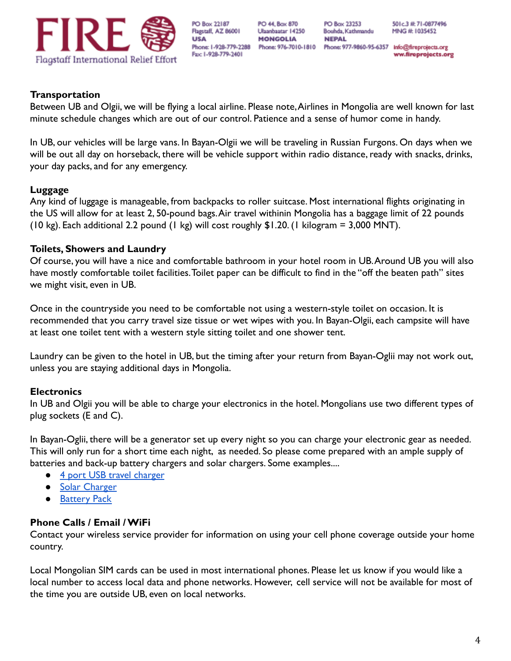

PO Box 22187 Flagstaff, AZ 86001 **USA** Phone: 1-928-779-2288 Fax: 1-928-779-2401

PO 44, Box 870 Ulaanbaatar 14250 **MONGOLIA** 

PO Box 23253 Bouhda, Kathmandu **NEPAL** 

501c.3 # 71-0877496 MNG #: 1035452

Phone: 976-7010-1810 Phone: 977-9860-95-6357 Info@fireprojects.org ww.fireprojects.org

# **Transportation**

Between UB and Olgii, we will be flying a local airline. Please note,Airlines in Mongolia are well known for last minute schedule changes which are out of our control. Patience and a sense of humor come in handy.

In UB, our vehicles will be large vans. In Bayan-Olgii we will be traveling in Russian Furgons. On days when we will be out all day on horseback, there will be vehicle support within radio distance, ready with snacks, drinks, your day packs, and for any emergency.

# **Luggage**

Any kind of luggage is manageable, from backpacks to roller suitcase. Most international flights originating in the US will allow for at least 2, 50-pound bags.Air travel withinin Mongolia has a baggage limit of 22 pounds (10 kg). Each additional 2.2 pound (1 kg) will cost roughly  $$1.20$ . (1 kilogram = 3,000 MNT).

# **Toilets, Showers and Laundry**

Of course, you will have a nice and comfortable bathroom in your hotel room in UB.Around UB you will also have mostly comfortable toilet facilities.Toilet paper can be difficult to find in the "off the beaten path" sites we might visit, even in UB.

Once in the countryside you need to be comfortable not using a western-style toilet on occasion. It is recommended that you carry travel size tissue or wet wipes with you. In Bayan-Olgii, each campsite will have at least one toilet tent with a western style sitting toilet and one shower tent.

Laundry can be given to the hotel in UB, but the timing after your return from Bayan-Oglii may not work out, unless you are staying additional days in Mongolia.

# **Electronics**

In UB and Olgii you will be able to charge your electronics in the hotel. Mongolians use two different types of plug sockets (E and C).

In Bayan-Oglii, there will be a generator set up every night so you can charge your electronic gear as needed. This will only run for a short time each night, as needed. So please come prepared with an ample supply of batteries and back-up battery chargers and solar chargers. Some examples....

- [4 port USB travel charger](https://www.amazon.com/iKits-Certified-International-Technology-universal/dp/B019ES6OJE/ref=as_li_ss_tl?s=wireless&ie=UTF8&qid=1521403113&sr=1-3&keywords=iKits+4-Port+USB+Wall+Charger&linkCode=ll1&tag=wikiconnections-20&linkId=54dd96e809d3f9da39e13e2b46cfa0eb)
- [Solar Charger](https://smile.amazon.com/gp/product/B01EXWCPLC/ref=ppx_yo_dt_b_search_asin_title?ie=UTF8&psc=1)
- **[Battery Pack](https://smile.amazon.com/gp/product/B012NIQG5E/ref=ppx_yo_dt_b_search_asin_title?ie=UTF8&th=1)**

# **Phone Calls / Email / WiFi**

Contact your wireless service provider for information on using your cell phone coverage outside your home country.

Local Mongolian SIM cards can be used in most international phones. Please let us know if you would like a local number to access local data and phone networks. However, cell service will not be available for most of the time you are outside UB, even on local networks.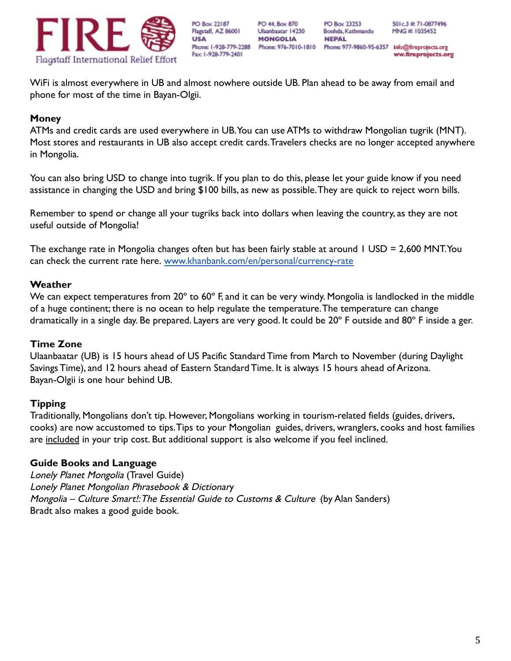

PO Box 22187 Flagstaff, AZ 86001 **USA** Fax: 1-928-779-2401

PO 44, Box 870 Ulaanbaatar 14250 **MONGOLIA** 

PO Box 23253

**NEPAL** 

Bouhda, Kathmandu

501c.3 # 71-0877496 MNG #: 1035452

Phone: 1-928-779-2288 Phone: 976-7010-1810 Phone: 977-9860-95-6357 Info@fireprojects.org ww.fireprojects.org

WiFi is almost everywhere in UB and almost nowhere outside UB. Plan ahead to be away from email and phone for most of the time in Bayan-Olgii.

#### **Money**

ATMs and credit cards are used everywhere in UB.You can use ATMs to withdraw Mongolian tugrik (MNT). Most stores and restaurants in UB also accept credit cards.Travelers checks are no longer accepted anywhere in Mongolia.

You can also bring USD to change into tugrik. If you plan to do this, please let your guide know if you need assistance in changing the USD and bring \$100 bills, as new as possible.They are quick to reject worn bills.

Remember to spend or change all your tugriks back into dollars when leaving the country, as they are not useful outside of Mongolia!

The exchange rate in Mongolia changes often but has been fairly stable at around 1 USD = 2,600 MNT. You can check the current rate here. [www.khanbank.com/en/personal/currency-rate](https://www.khanbank.com/en/personal/currency-rate)

#### **Weather**

We can expect temperatures from 20° to 60° F, and it can be very windy. Mongolia is landlocked in the middle of a huge continent; there is no ocean to help regulate the temperature.The temperature can change dramatically in a single day. Be prepared. Layers are very good. It could be 20º F outside and 80º F inside a ger.

#### **Time Zone**

Ulaanbaatar (UB) is 15 hours ahead of US Pacific Standard Time from March to November (during Daylight Savings Time), and 12 hours ahead of Eastern Standard Time. It is always 15 hours ahead of Arizona. Bayan-Olgii is one hour behind UB.

# **Tipping**

Traditionally, Mongolians don't tip. However, Mongolians working in tourism-related fields (guides, drivers, cooks) are now accustomed to tips.Tips to your Mongolian guides, drivers, wranglers, cooks and host families are included in your trip cost. But additional support is also welcome if you feel inclined.

# **Guide Books and Language**

Lonely Planet Mongolia (Travel Guide) Lonely Planet Mongolian Phrasebook & Dictionary Mongolia – Culture Smart!: The Essential Guide to Customs & Culture (by Alan Sanders) Bradt also makes a good guide book.